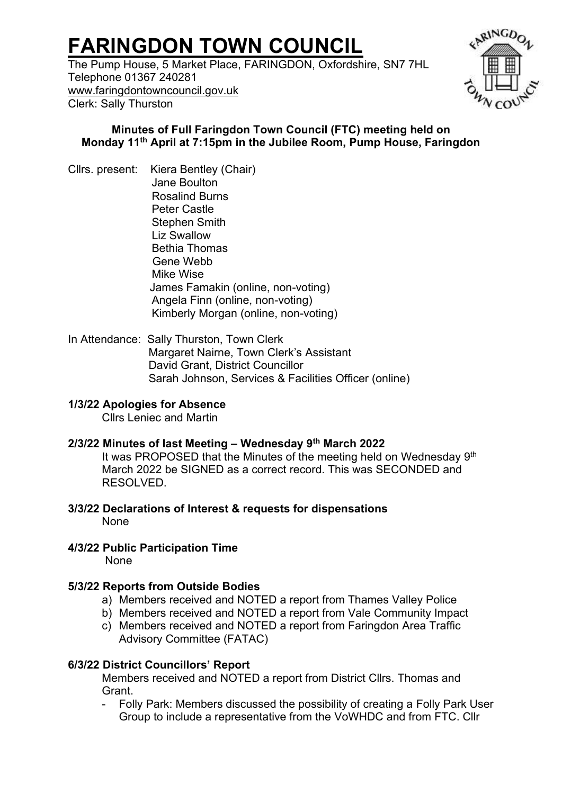# **FARINGDON TOWN COUNCIL**

The Pump House, 5 Market Place, FARINGDON, Oxfordshire, SN7 7HL Telephone 01367 240281 [www.faringdontowncouncil.gov.uk](http://www.faringdontowncouncil.gov.uk/) Clerk: Sally Thurston



#### **Minutes of Full Faringdon Town Council (FTC) meeting held on Monday 11th April at 7:15pm in the Jubilee Room, Pump House, Faringdon**

Cllrs. present: Kiera Bentley (Chair) Jane Boulton Rosalind Burns Peter Castle Stephen Smith Liz Swallow Bethia Thomas Gene Webb Mike Wise James Famakin (online, non-voting) Angela Finn (online, non-voting) Kimberly Morgan (online, non-voting)

In Attendance: Sally Thurston, Town Clerk Margaret Nairne, Town Clerk's Assistant David Grant, District Councillor Sarah Johnson, Services & Facilities Officer (online)

# **1/3/22 Apologies for Absence**

Cllrs Leniec and Martin

#### **2/3/22 Minutes of last Meeting – Wednesday 9th March 2022**

It was PROPOSED that the Minutes of the meeting held on Wednesday 9<sup>th</sup> March 2022 be SIGNED as a correct record. This was SECONDED and RESOLVED.

**3/3/22 Declarations of Interest & requests for dispensations**  None

# **4/3/22 Public Participation Time**

None

# **5/3/22 Reports from Outside Bodies**

- a) Members received and NOTED a report from Thames Valley Police
- b) Members received and NOTED a report from Vale Community Impact
- c) Members received and NOTED a report from Faringdon Area Traffic Advisory Committee (FATAC)

# **6/3/22 District Councillors' Report**

Members received and NOTED a report from District Cllrs. Thomas and **Grant** 

- Folly Park: Members discussed the possibility of creating a Folly Park User Group to include a representative from the VoWHDC and from FTC. Cllr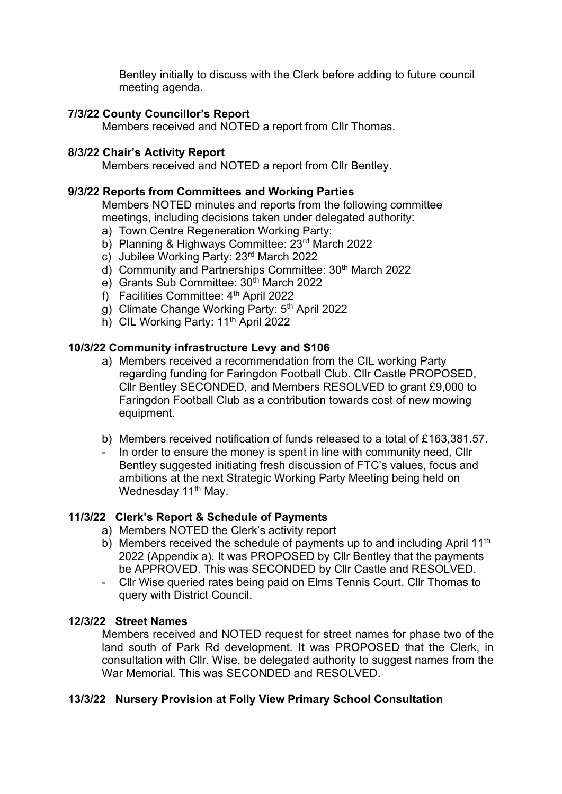Bentley initially to discuss with the Clerk before adding to future council meeting agenda.

# **7/3/22 County Councillor's Report**

Members received and NOTED a report from Cllr Thomas.

# **8/3/22 Chair's Activity Report**

Members received and NOTED a report from Cllr Bentley.

#### **9/3/22 Reports from Committees and Working Parties**

Members NOTED minutes and reports from the following committee meetings, including decisions taken under delegated authority:

- a) Town Centre Regeneration Working Party:
- b) Planning & Highways Committee: 23<sup>rd</sup> March 2022
- c) Jubilee Working Party: 23rd March 2022
- d) Community and Partnerships Committee: 30th March 2022
- e) Grants Sub Committee: 30<sup>th</sup> March 2022
- f) Facilities Committee: 4th April 2022
- g) Climate Change Working Party: 5th April 2022
- h) CIL Working Party: 11<sup>th</sup> April 2022

# **10/3/22 Community infrastructure Levy and S106**

- a) Members received a recommendation from the CIL working Party regarding funding for Faringdon Football Club. Cllr Castle PROPOSED, Cllr Bentley SECONDED, and Members RESOLVED to grant £9,000 to Faringdon Football Club as a contribution towards cost of new mowing equipment.
- b) Members received notification of funds released to a total of £163,381.57.
- In order to ensure the money is spent in line with community need. Cllr Bentley suggested initiating fresh discussion of FTC's values, focus and ambitions at the next Strategic Working Party Meeting being held on Wednesday 11<sup>th</sup> May.

# **11/3/22****Clerk's Report & Schedule of Payments**

- a) Members NOTED the Clerk's activity report
- b) Members received the schedule of payments up to and including April 11<sup>th</sup> 2022 (Appendix a). It was PROPOSED by Cllr Bentley that the payments be APPROVED. This was SECONDED by Cllr Castle and RESOLVED.
- Cllr Wise queried rates being paid on Elms Tennis Court. Cllr Thomas to query with District Council.

# **12/3/22****Street Names**

Members received and NOTED request for street names for phase two of the land south of Park Rd development. It was PROPOSED that the Clerk, in consultation with Cllr. Wise, be delegated authority to suggest names from the War Memorial. This was SECONDED and RESOLVED.

# **13/3/22****Nursery Provision at Folly View Primary School Consultation**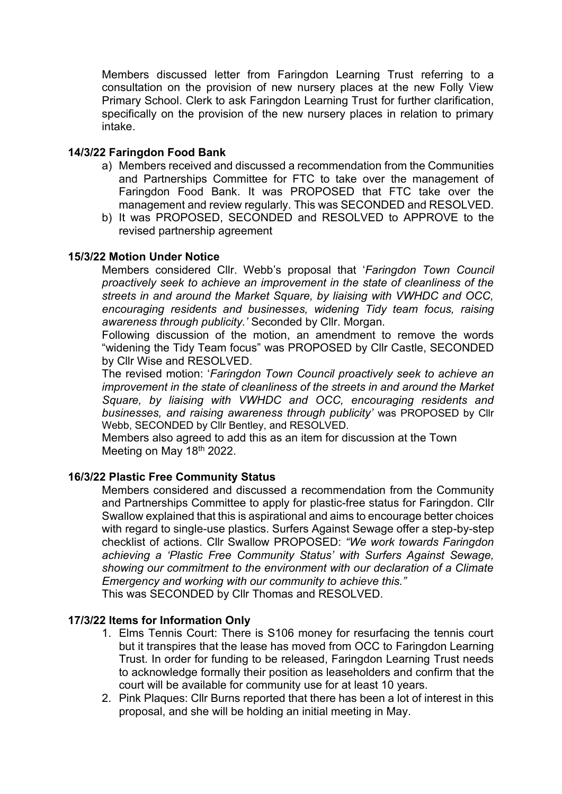Members discussed letter from Faringdon Learning Trust referring to a consultation on the provision of new nursery places at the new Folly View Primary School. Clerk to ask Faringdon Learning Trust for further clarification, specifically on the provision of the new nursery places in relation to primary intake.

#### **14/3/22 Faringdon Food Bank**

- a) Members received and discussed a recommendation from the Communities and Partnerships Committee for FTC to take over the management of Faringdon Food Bank. It was PROPOSED that FTC take over the management and review regularly. This was SECONDED and RESOLVED.
- b) It was PROPOSED, SECONDED and RESOLVED to APPROVE to the revised partnership agreement

#### **15/3/22 Motion Under Notice**

Members considered Cllr. Webb's proposal that '*Faringdon Town Council proactively seek to achieve an improvement in the state of cleanliness of the streets in and around the Market Square, by liaising with VWHDC and OCC, encouraging residents and businesses, widening Tidy team focus, raising awareness through publicity.'* Seconded by Cllr. Morgan*.*

Following discussion of the motion, an amendment to remove the words "widening the Tidy Team focus" was PROPOSED by Cllr Castle, SECONDED by Cllr Wise and RESOLVED.

The revised motion: '*Faringdon Town Council proactively seek to achieve an improvement in the state of cleanliness of the streets in and around the Market Square, by liaising with VWHDC and OCC, encouraging residents and businesses, and raising awareness through publicity'* was PROPOSED by Cllr Webb, SECONDED by Cllr Bentley, and RESOLVED.

Members also agreed to add this as an item for discussion at the Town Meeting on May 18<sup>th</sup> 2022.

#### **16/3/22 Plastic Free Community Status**

Members considered and discussed a recommendation from the Community and Partnerships Committee to apply for plastic-free status for Faringdon. Cllr Swallow explained that this is aspirational and aims to encourage better choices with regard to single-use plastics. Surfers Against Sewage offer a step-by-step checklist of actions. Cllr Swallow PROPOSED: *"We work towards Faringdon achieving a 'Plastic Free Community Status' with Surfers Against Sewage, showing our commitment to the environment with our declaration of a Climate Emergency and working with our community to achieve this."*

This was SECONDED by Cllr Thomas and RESOLVED.

#### **17/3/22 Items for Information Only**

- 1. Elms Tennis Court: There is S106 money for resurfacing the tennis court but it transpires that the lease has moved from OCC to Faringdon Learning Trust. In order for funding to be released, Faringdon Learning Trust needs to acknowledge formally their position as leaseholders and confirm that the court will be available for community use for at least 10 years.
- 2. Pink Plaques: Cllr Burns reported that there has been a lot of interest in this proposal, and she will be holding an initial meeting in May.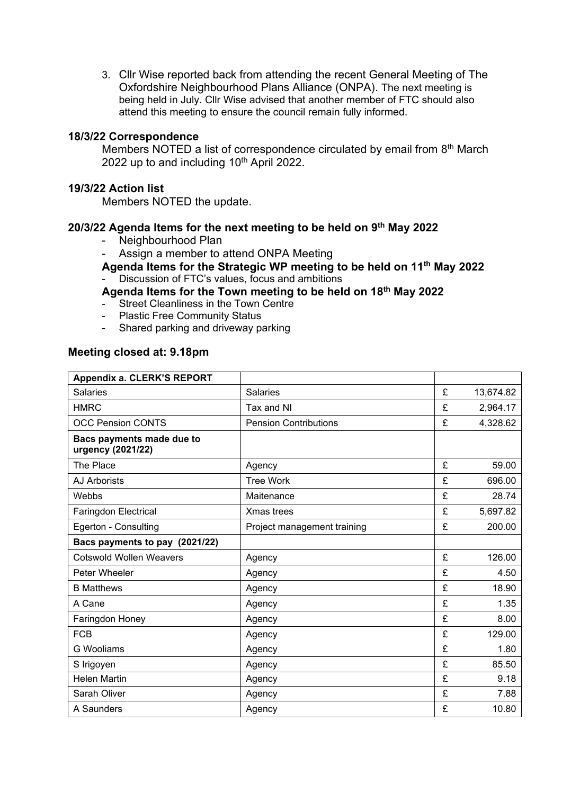3. Cllr Wise reported back from attending the recent General Meeting of The Oxfordshire Neighbourhood Plans Alliance (ONPA). The next meeting is being held in July. Cllr Wise advised that another member of FTC should also attend this meeting to ensure the council remain fully informed.

#### **18/3/22 Correspondence**

Members NOTED a list of correspondence circulated by email from 8<sup>th</sup> March 2022 up to and including 10<sup>th</sup> April 2022.

#### **19/3/22 Action list**

Members NOTED the update.

#### **20/3/22 Agenda Items for the next meeting to be held on 9th May 2022**

- Neighbourhood Plan
- Assign a member to attend ONPA Meeting

**Agenda Items for the Strategic WP meeting to be held on 11th May 2022** Discussion of FTC's values, focus and ambitions

#### **Agenda Items for the Town meeting to be held on 18 th May 2022**

- Street Cleanliness in the Town Centre
- Plastic Free Community Status
- Shared parking and driveway parking

#### **Meeting closed at: 9.18pm**

| Appendix a. CLERK'S REPORT                     |                              |   |           |
|------------------------------------------------|------------------------------|---|-----------|
| <b>Salaries</b>                                | <b>Salaries</b>              | £ | 13,674.82 |
| <b>HMRC</b>                                    | Tax and NI                   | £ | 2,964.17  |
| <b>OCC Pension CONTS</b>                       | <b>Pension Contributions</b> | £ | 4,328.62  |
| Bacs payments made due to<br>urgency (2021/22) |                              |   |           |
| The Place                                      | Agency                       | £ | 59.00     |
| AJ Arborists                                   | <b>Tree Work</b>             | £ | 696.00    |
| Webbs                                          | Maitenance                   | £ | 28.74     |
| Faringdon Electrical                           | Xmas trees                   | £ | 5,697.82  |
| Egerton - Consulting                           | Project management training  | £ | 200.00    |
| Bacs payments to pay (2021/22)                 |                              |   |           |
| <b>Cotswold Wollen Weavers</b>                 | Agency                       | £ | 126.00    |
| Peter Wheeler                                  | Agency                       | £ | 4.50      |
| <b>B</b> Matthews                              | Agency                       | £ | 18.90     |
| A Cane                                         | Agency                       | £ | 1.35      |
| Faringdon Honey                                | Agency                       | £ | 8.00      |
| <b>FCB</b>                                     | Agency                       | £ | 129.00    |
| <b>G</b> Wooliams                              | Agency                       | £ | 1.80      |
| S Irigoyen                                     | Agency                       | £ | 85.50     |
| <b>Helen Martin</b>                            | Agency                       | £ | 9.18      |
| Sarah Oliver                                   | Agency                       | £ | 7.88      |
| A Saunders                                     | Agency                       | £ | 10.80     |